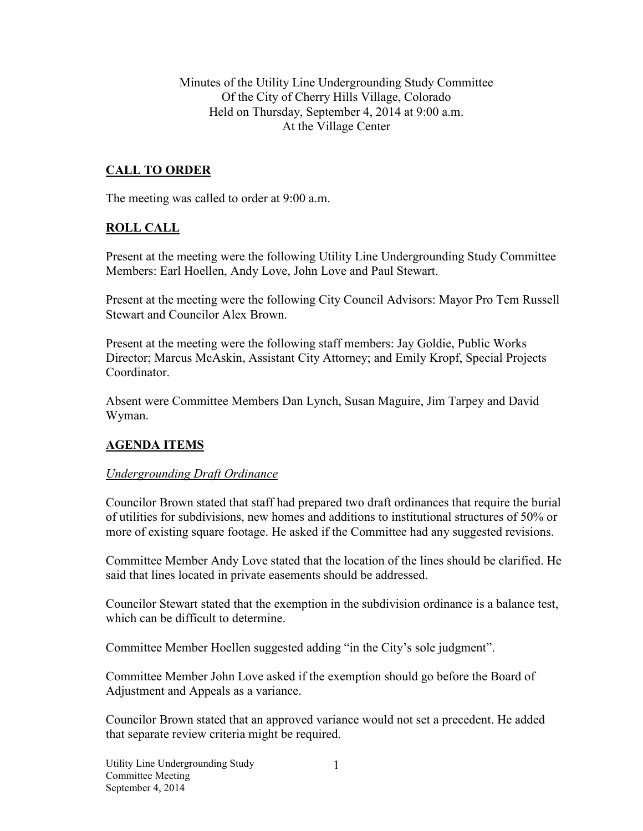Minutes of the Utility Line Undergrounding Study Committee Of the City of Cherry Hills Village, Colorado Held on Thursday, September 4, 2014 at 9:00 a.m. At the Village Center

## **CALL TO ORDER**

The meeting was called to order at 9:00 a.m.

## **ROLL CALL**

Present at the meeting were the following Utility Line Undergrounding Study Committee Members: Earl Hoellen, Andy Love, John Love and Paul Stewart.

Present at the meeting were the following City Council Advisors: Mayor Pro Tem Russell Stewart and Councilor Alex Brown.

Present at the meeting were the following staff members: Jay Goldie, Public Works Director; Marcus McAskin, Assistant City Attorney; and Emily Kropf, Special Projects Coordinator.

Absent were Committee Members Dan Lynch, Susan Maguire, Jim Tarpey and David Wyman.

## **AGENDA ITEMS**

#### *Undergrounding Draft Ordinance*

Councilor Brown stated that staff had prepared two draft ordinances that require the burial of utilities for subdivisions, new homes and additions to institutional structures of 50% or more of existing square footage. He asked if the Committee had any suggested revisions.

Committee Member Andy Love stated that the location of the lines should be clarified. He said that lines located in private easements should be addressed.

Councilor Stewart stated that the exemption in the subdivision ordinance is a balance test, which can be difficult to determine.

Committee Member Hoellen suggested adding "in the City's sole judgment".

Committee Member John Love asked if the exemption should go before the Board of Adjustment and Appeals as a variance.

Councilor Brown stated that an approved variance would not set a precedent. He added that separate review criteria might be required.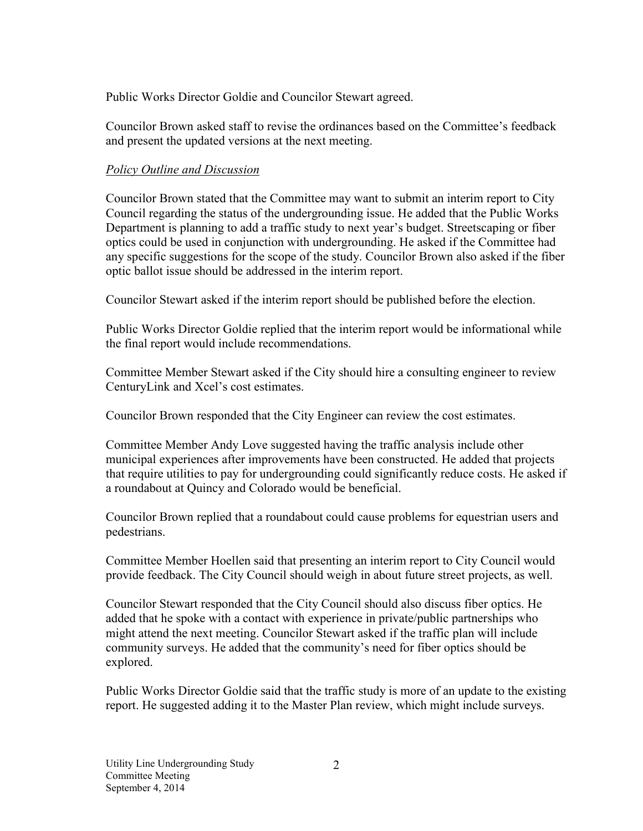Public Works Director Goldie and Councilor Stewart agreed.

Councilor Brown asked staff to revise the ordinances based on the Committee's feedback and present the updated versions at the next meeting.

# *Policy Outline and Discussion*

Councilor Brown stated that the Committee may want to submit an interim report to City Council regarding the status of the undergrounding issue. He added that the Public Works Department is planning to add a traffic study to next year's budget. Streetscaping or fiber optics could be used in conjunction with undergrounding. He asked if the Committee had any specific suggestions for the scope of the study. Councilor Brown also asked if the fiber optic ballot issue should be addressed in the interim report.

Councilor Stewart asked if the interim report should be published before the election.

Public Works Director Goldie replied that the interim report would be informational while the final report would include recommendations.

Committee Member Stewart asked if the City should hire a consulting engineer to review CenturyLink and Xcel's cost estimates.

Councilor Brown responded that the City Engineer can review the cost estimates.

Committee Member Andy Love suggested having the traffic analysis include other municipal experiences after improvements have been constructed. He added that projects that require utilities to pay for undergrounding could significantly reduce costs. He asked if a roundabout at Quincy and Colorado would be beneficial.

Councilor Brown replied that a roundabout could cause problems for equestrian users and pedestrians.

Committee Member Hoellen said that presenting an interim report to City Council would provide feedback. The City Council should weigh in about future street projects, as well.

Councilor Stewart responded that the City Council should also discuss fiber optics. He added that he spoke with a contact with experience in private/public partnerships who might attend the next meeting. Councilor Stewart asked if the traffic plan will include community surveys. He added that the community's need for fiber optics should be explored.

Public Works Director Goldie said that the traffic study is more of an update to the existing report. He suggested adding it to the Master Plan review, which might include surveys.